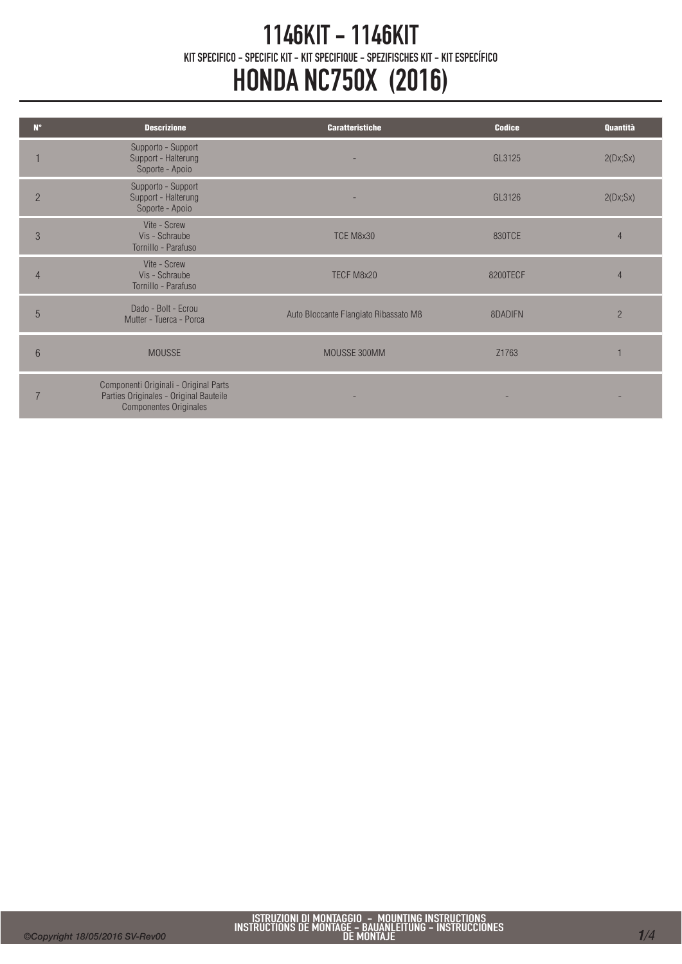## 1146KIT - 1146KIT KIT SPECIFICO - SPECIFIC KIT - KIT SPECIFIQUE - SPEZIFISCHES KIT - KIT ESPECÍFICO HONDA NC750X (2016)

| $N^{\circ}$    | <b>Descrizione</b>                                                                                               | <b>Caratteristiche</b>                | <b>Codice</b> | Quantità       |
|----------------|------------------------------------------------------------------------------------------------------------------|---------------------------------------|---------------|----------------|
|                | Supporto - Support<br>Support - Halterung<br>Soporte - Apoio                                                     |                                       | GL3125        | 2(Dx;Sx)       |
| $\overline{2}$ | Supporto - Support<br>Support - Halterung<br>Soporte - Apoio                                                     |                                       | GL3126        | 2(Dx;Sx)       |
| 3              | Vite - Screw<br>Vis - Schraube<br>Tornillo - Parafuso                                                            | TCE M8x30                             | 830TCE        |                |
| 4              | Vite - Screw<br>Vis - Schraube<br>Tornillo - Parafuso                                                            | TECF M8x20                            | 8200TECF      | 4              |
| 5              | Dado - Bolt - Ecrou<br>Mutter - Tuerca - Porca                                                                   | Auto Bloccante Flangiato Ribassato M8 | 8DADIFN       | $\overline{2}$ |
| 6              | <b>MOUSSE</b>                                                                                                    | MOUSSE 300MM                          | Z1763         |                |
|                | Componenti Originali - Original Parts<br>Parties Originales - Original Bauteile<br><b>Componentes Originales</b> |                                       |               |                |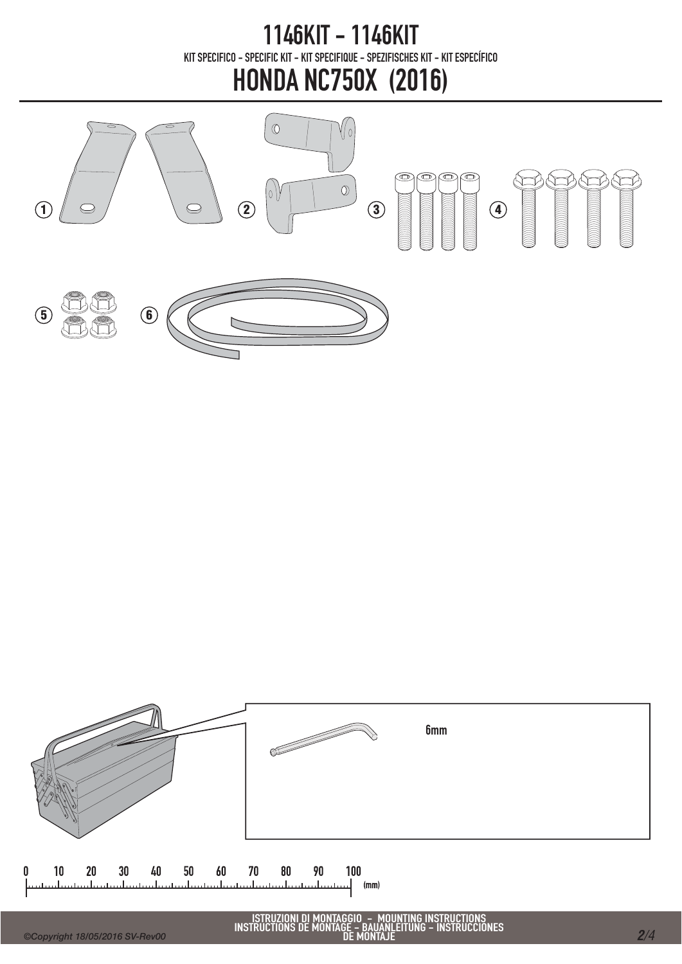1146KIT - 1146KIT KIT SPECIFICO - SPECIFIC KIT - KIT SPECIFIQUE - SPEZIFISCHES KIT - KIT ESPECÍFICO

## HONDA NC750X (2016)





ISTRUZIONI DI MONTAGGIO - MOUNTING INSTRUCTIONS INSTRUCTIONS DE MONTAGE - BAUANLEITUNG - INSTRUCCIONES DE MONTAJE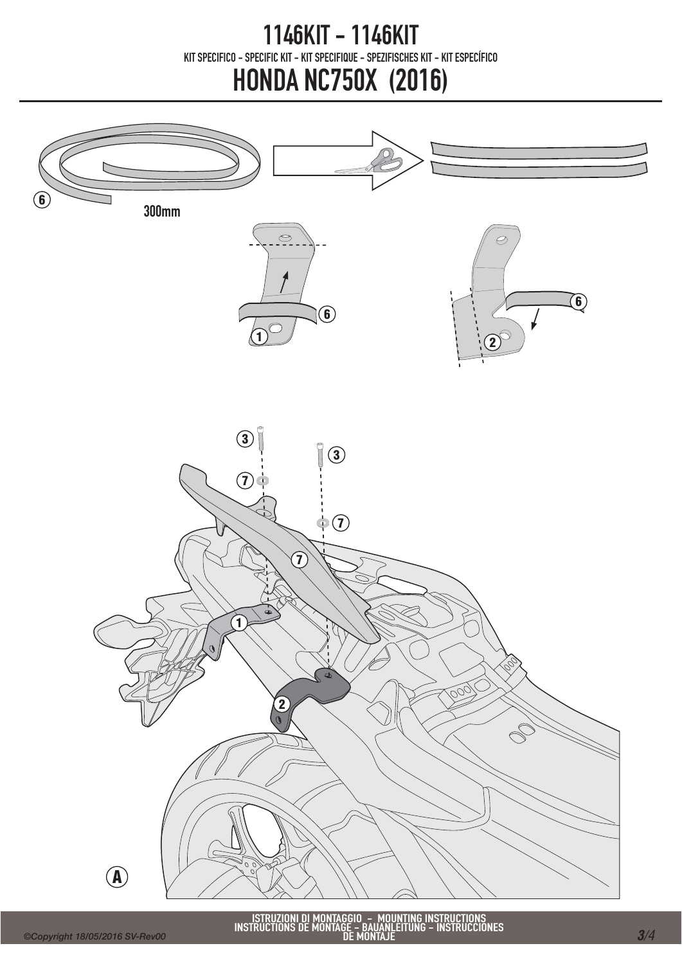## 1146KIT - 1146KIT KIT SPECIFICO - SPECIFIC KIT - KIT SPECIFIQUE - SPEZIFISCHES KIT - KIT ESPECÍFICO HONDA NC750X (2016)